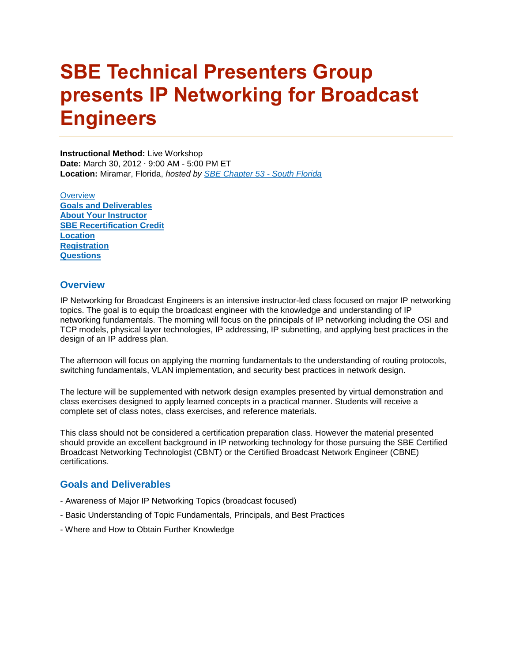# **SBE Technical Presenters Group presents IP Networking for Broadcast Engineers**

**Instructional Method:** Live Workshop **Date:** March 30, 2012 ∙ 9:00 AM - 5:00 PM ET **Location:** Miramar, Florida, *hosted by [SBE Chapter 53 -](http://www.sbe53.com/) South Florida*

**[Overview](http://www.sbe.org/sections/LiveIPNetworking.php#Overview) [Goals and Deliverables](http://www.sbe.org/sections/LiveIPNetworking.php#Why)  [About Your Instructor](http://www.sbe.org/sections/LiveIPNetworking.php#Instructor) [SBE Recertification Credit](http://www.sbe.org/sections/LiveIPNetworking.php#recert)  [Location](http://www.sbe.org/sections/LiveIPNetworking.php#Location) [Registration](http://www.sbe.org/sections/LiveIPNetworking.php#Register) [Questions](http://www.sbe.org/sections/LiveIPNetworking.php#Questions)** 

### **Overview**

IP Networking for Broadcast Engineers is an intensive instructor-led class focused on major IP networking topics. The goal is to equip the broadcast engineer with the knowledge and understanding of IP networking fundamentals. The morning will focus on the principals of IP networking including the OSI and TCP models, physical layer technologies, IP addressing, IP subnetting, and applying best practices in the design of an IP address plan.

The afternoon will focus on applying the morning fundamentals to the understanding of routing protocols, switching fundamentals, VLAN implementation, and security best practices in network design.

The lecture will be supplemented with network design examples presented by virtual demonstration and class exercises designed to apply learned concepts in a practical manner. Students will receive a complete set of class notes, class exercises, and reference materials.

This class should not be considered a certification preparation class. However the material presented should provide an excellent background in IP networking technology for those pursuing the SBE Certified Broadcast Networking Technologist (CBNT) or the Certified Broadcast Network Engineer (CBNE) certifications.

### **Goals and Deliverables**

- Awareness of Major IP Networking Topics (broadcast focused)
- Basic Understanding of Topic Fundamentals, Principals, and Best Practices
- Where and How to Obtain Further Knowledge